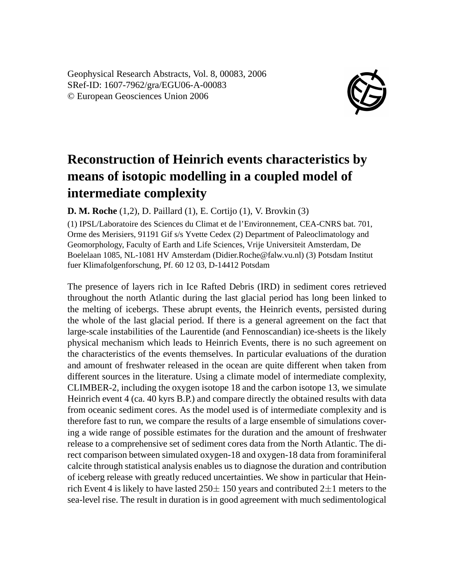Geophysical Research Abstracts, Vol. 8, 00083, 2006 SRef-ID: 1607-7962/gra/EGU06-A-00083 © European Geosciences Union 2006



## **Reconstruction of Heinrich events characteristics by means of isotopic modelling in a coupled model of intermediate complexity**

**D. M. Roche** (1,2), D. Paillard (1), E. Cortijo (1), V. Brovkin (3)

(1) IPSL/Laboratoire des Sciences du Climat et de l'Environnement, CEA-CNRS bat. 701, Orme des Merisiers, 91191 Gif s/s Yvette Cedex (2) Department of Paleoclimatology and Geomorphology, Faculty of Earth and Life Sciences, Vrije Universiteit Amsterdam, De Boelelaan 1085, NL-1081 HV Amsterdam (Didier.Roche@falw.vu.nl) (3) Potsdam Institut fuer Klimafolgenforschung, Pf. 60 12 03, D-14412 Potsdam

The presence of layers rich in Ice Rafted Debris (IRD) in sediment cores retrieved throughout the north Atlantic during the last glacial period has long been linked to the melting of icebergs. These abrupt events, the Heinrich events, persisted during the whole of the last glacial period. If there is a general agreement on the fact that large-scale instabilities of the Laurentide (and Fennoscandian) ice-sheets is the likely physical mechanism which leads to Heinrich Events, there is no such agreement on the characteristics of the events themselves. In particular evaluations of the duration and amount of freshwater released in the ocean are quite different when taken from different sources in the literature. Using a climate model of intermediate complexity, CLIMBER-2, including the oxygen isotope 18 and the carbon isotope 13, we simulate Heinrich event 4 (ca. 40 kyrs B.P.) and compare directly the obtained results with data from oceanic sediment cores. As the model used is of intermediate complexity and is therefore fast to run, we compare the results of a large ensemble of simulations covering a wide range of possible estimates for the duration and the amount of freshwater release to a comprehensive set of sediment cores data from the North Atlantic. The direct comparison between simulated oxygen-18 and oxygen-18 data from foraminiferal calcite through statistical analysis enables us to diagnose the duration and contribution of iceberg release with greatly reduced uncertainties. We show in particular that Heinrich Event 4 is likely to have lasted  $250 \pm 150$  years and contributed  $2 \pm 1$  meters to the sea-level rise. The result in duration is in good agreement with much sedimentological